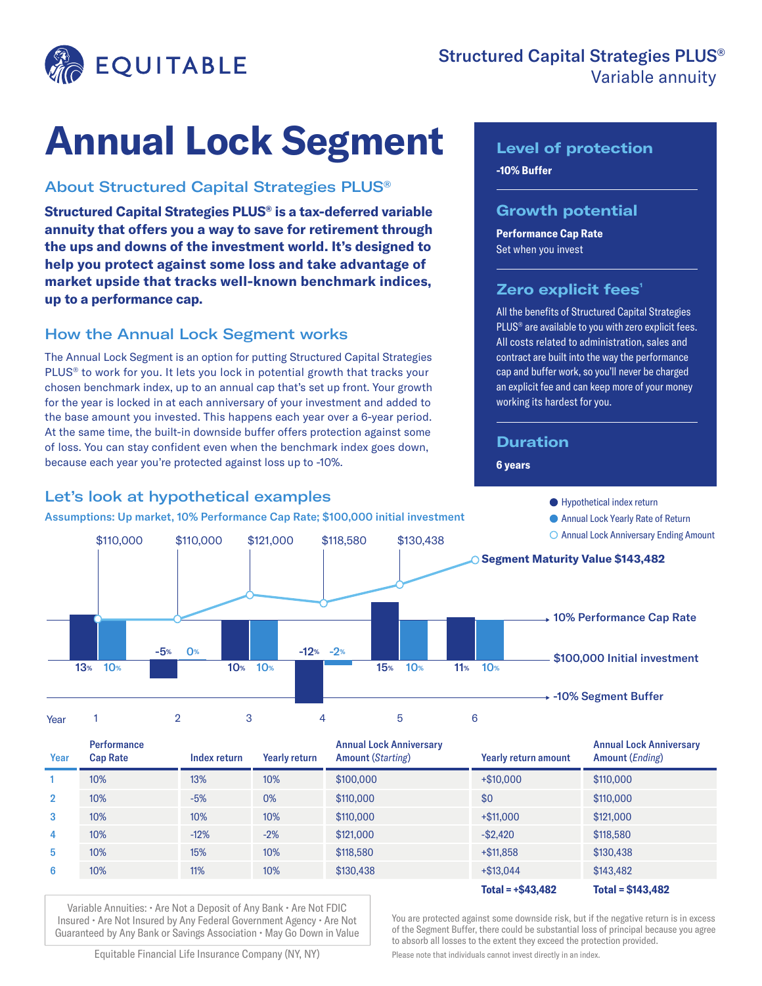

# **Annual Lock Segment**

### About Structured Capital Strategies PLUS®

**Structured Capital Strategies PLUS® is a tax-deferred variable annuity that offers you a way to save for retirement through the ups and downs of the investment world. It's designed to help you protect against some loss and take advantage of market upside that tracks well-known benchmark indices, up to a performance cap.**

#### How the Annual Lock Segment works

The Annual Lock Segment is an option for putting Structured Capital Strategies PLUS<sup>®</sup> to work for you. It lets you lock in potential growth that tracks your chosen benchmark index, up to an annual cap that's set up front. Your growth for the year is locked in at each anniversary of your investment and added to the base amount you invested. This happens each year over a 6-year period. At the same time, the built-in downside buffer offers protection against some of loss. You can stay confident even when the benchmark index goes down, because each year you're protected against loss up to -10%.

### Let's look at hypothetical examples

## **-10% Buffer Level of protection**

#### **Growth potential**

**Performance Cap Rate** Set when you invest

### **Zero explicit fees'**

All the benefits of Structured Capital Strategies PLUS® are available to you with zero explicit fees. All costs related to administration, sales and contract are built into the way the performance cap and buffer work, so you'll never be charged an explicit fee and can keep more of your money working its hardest for you.

### **Duration**

#### **6 years**

Year 1 2 3 4 5 6 ● Hypothetical index return Annual Lock Yearly Rate of Return O Annual Lock Anniversary Ending Amount 10% Performance Cap Rate \$100,000 Initial investment -10% Segment Buffer 13% 10% -5% 0% -12% -2% 10% 10% 15% 10% 11% 10% \$110,000 \$121,000 \$118,580 \$130,438 **Segment Maturity Value \$143,482** \$110,000 Assumptions: Up market, 10% Performance Cap Rate; \$100,000 initial investment

| Year           | <b>Performance</b><br><b>Cap Rate</b> | Index return | <b>Yearly return</b> | <b>Annual Lock Anniversary</b><br><b>Amount (Starting)</b> | Yearly return amount | <b>Annual Lock Anniversary</b><br>Amount ( <i>Ending</i> ) |
|----------------|---------------------------------------|--------------|----------------------|------------------------------------------------------------|----------------------|------------------------------------------------------------|
|                | 10%                                   | 13%          | 10%                  | \$100,000                                                  | $+$ \$10,000         | \$110,000                                                  |
| $\overline{2}$ | 10%                                   | $-5%$        | 0%                   | \$110,000                                                  | \$0                  | \$110,000                                                  |
| 3              | 10%                                   | 10%          | 10%                  | \$110,000                                                  | $+$ \$11,000         | \$121,000                                                  |
| 4              | 10%                                   | $-12%$       | $-2%$                | \$121,000                                                  | $-$ \$2,420          | \$118,580                                                  |
| 5              | 10%                                   | 15%          | 10%                  | \$118,580                                                  | $+ $11.858$          | \$130,438                                                  |
| 6              | 10%                                   | 11%          | 10%                  | \$130,438                                                  | $+ $13.044$          | \$143,482                                                  |
|                |                                       |              |                      |                                                            | Total = $+$ \$43.482 | $Total = $143,482$                                         |

Variable Annuities: • Are Not a Deposit of Any Bank • Are Not FDIC Insured • Are Not Insured by Any Federal Government Agency • Are Not Guaranteed by Any Bank or Savings Association • May Go Down in Value

You are protected against some downside risk, but if the negative return is in excess of the Segment Buffer, there could be substantial loss of principal because you agree to absorb all losses to the extent they exceed the protection provided.

Equitable Financial Life Insurance Company (NY, NY)

Please note that individuals cannot invest directly in an index.